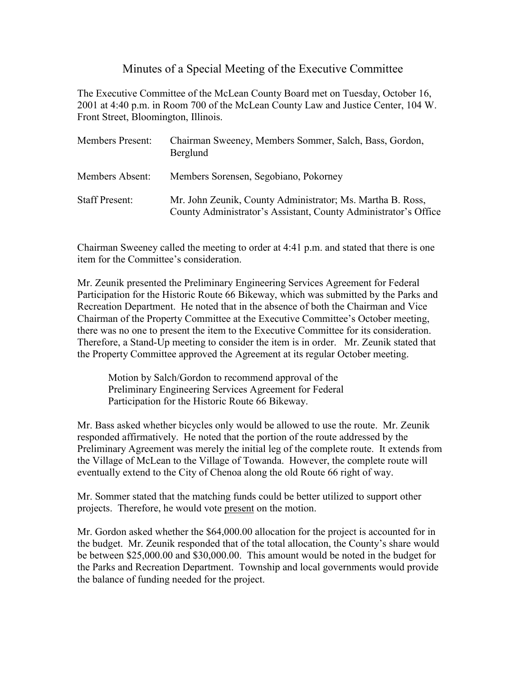## Minutes of a Special Meeting of the Executive Committee

The Executive Committee of the McLean County Board met on Tuesday, October 16, 2001 at 4:40 p.m. in Room 700 of the McLean County Law and Justice Center, 104 W. Front Street, Bloomington, Illinois.

| Members Present:      | Chairman Sweeney, Members Sommer, Salch, Bass, Gordon,<br>Berglund                                                            |
|-----------------------|-------------------------------------------------------------------------------------------------------------------------------|
| Members Absent:       | Members Sorensen, Segobiano, Pokorney                                                                                         |
| <b>Staff Present:</b> | Mr. John Zeunik, County Administrator; Ms. Martha B. Ross,<br>County Administrator's Assistant, County Administrator's Office |

Chairman Sweeney called the meeting to order at 4:41 p.m. and stated that there is one item for the Committee's consideration.

Mr. Zeunik presented the Preliminary Engineering Services Agreement for Federal Participation for the Historic Route 66 Bikeway, which was submitted by the Parks and Recreation Department. He noted that in the absence of both the Chairman and Vice Chairman of the Property Committee at the Executive Committee's October meeting, there was no one to present the item to the Executive Committee for its consideration. Therefore, a Stand-Up meeting to consider the item is in order. Mr. Zeunik stated that the Property Committee approved the Agreement at its regular October meeting.

Motion by Salch/Gordon to recommend approval of the Preliminary Engineering Services Agreement for Federal Participation for the Historic Route 66 Bikeway.

Mr. Bass asked whether bicycles only would be allowed to use the route. Mr. Zeunik responded affirmatively. He noted that the portion of the route addressed by the Preliminary Agreement was merely the initial leg of the complete route. It extends from the Village of McLean to the Village of Towanda. However, the complete route will eventually extend to the City of Chenoa along the old Route 66 right of way.

Mr. Sommer stated that the matching funds could be better utilized to support other projects. Therefore, he would vote present on the motion.

Mr. Gordon asked whether the \$64,000.00 allocation for the project is accounted for in the budget. Mr. Zeunik responded that of the total allocation, the County's share would be between \$25,000.00 and \$30,000.00. This amount would be noted in the budget for the Parks and Recreation Department. Township and local governments would provide the balance of funding needed for the project.